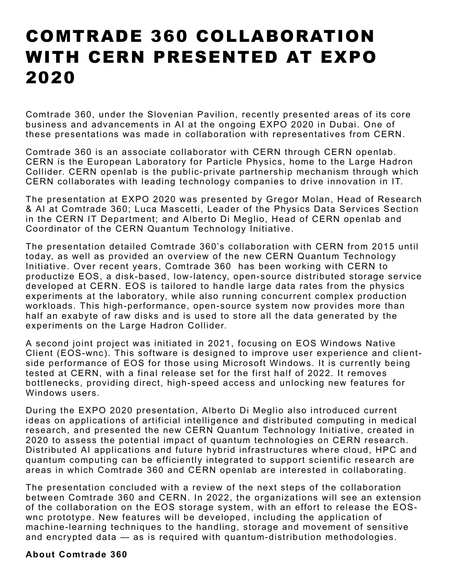## COMTRADE 360 COLLABORATION WITH CERN PRESENTED AT EXPO 2020

Comtrade 360, under the Slovenian Pavilion, recently presented areas of its core business and advancements in AI at the ongoing EXPO 2020 in Dubai. One of these presentations was made in collaboration with representatives from CERN.

Comtrade 360 is an associate collaborator with CERN through CERN openlab. CERN is the European Laboratory for Particle Physics, home to the Large Hadron Collider. CERN openlab is the public-private partnership mechanism through which CERN collaborates with leading technology companies to drive innovation in IT.

The presentation at EXPO 2020 was presented by Gregor Molan, Head of Research & AI at Comtrade 360; Luca Mascetti, Leader of the Physics Data Services Section in the CERN IT Department; and Alberto Di Meglio, Head of CERN openlab and Coordinator of the CERN Quantum Technology Initiative.

The presentation detailed Comtrade 360's collaboration with CERN from 2015 until today, as well as provided an overview of the new CERN Quantum Technology Initiative. Over recent years, Comtrade 360 has been working with CERN to productize EOS, a disk-based, low-latency, open-source distributed storage service developed at CERN. EOS is tailored to handle large data rates from the physics experiments at the laboratory, while also running concurrent complex production workloads. This high-performance, open-source system now provides more than half an exabyte of raw disks and is used to store all the data generated by the experiments on the Large Hadron Collider.

A second joint project was initiated in 2021, focusing on EOS Windows Native Client (EOS-wnc). This software is designed to improve user experience and clientside performance of EOS for those using Microsoft Windows. It is currently being tested at CERN, with a final release set for the first half of 2022. It removes bottlenecks, providing direct, high-speed access and unlocking new features for Windows users.

During the EXPO 2020 presentation, Alberto Di Meglio also introduced current ideas on applications of artificial intelligence and distributed computing in medical research, and presented the new CERN Quantum Technology Initiative, created in 2020 to assess the potential impact of quantum technologies on CERN research. Distributed AI applications and future hybrid infrastructures where cloud, HPC and quantum computing can be efficiently integrated to support scientific research are areas in which Comtrade 360 and CERN openlab are interested in collaborating.

The presentation concluded with a review of the next steps of the collaboration between Comtrade 360 and CERN. In 2022, the organizations will see an extension of the collaboration on the EOS storage system, with an effort to release the EOSwnc prototype. New features will be developed, including the application of machine-learning techniques to the handling, storage and movement of sensitive and encrypted data — as is required with quantum-distribution methodologies.

## **About Comtrade 360**